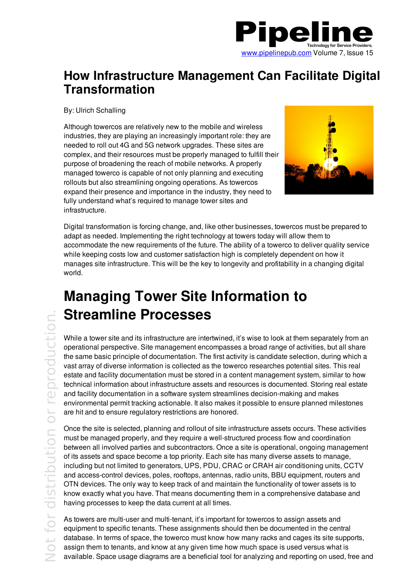

#### **How Infrastructure Management Can Facilitate Digital Transformation**

By: Ulrich Schalling

Although towercos are relatively new to the mobile and wireless industries, they are playing an increasingly important role: they are needed to roll out 4G and 5G network upgrades. These sites are complex, and their resources must be properly managed to fulfill their purpose of broadening the reach of mobile networks. A properly managed towerco is capable of not only planning and executing rollouts but also streamlining ongoing operations. As towercos expand their presence and importance in the industry, they need to fully understand what's required to manage tower sites and infrastructure.



Digital transformation is forcing change, and, like other businesses, towercos must be prepared to adapt as needed. Implementing the right technology at towers today will allow them to accommodate the new requirements of the future. The ability of a towerco to deliver quality service while keeping costs low and customer satisfaction high is completely dependent on how it manages site infrastructure. This will be the key to longevity and profitability in a changing digital world.

## **Managing Tower Site Information to Streamline Processes**

While a tower site and its infrastructure are intertwined, it's wise to look at them separately from an operational perspective. Site management encompasses a broad range of activities, but all share the same basic principle of documentation. The first activity is candidate selection, during which a vast array of diverse information is collected as the towerco researches potential sites. This real estate and facility documentation must be stored in a content management system, similar to how technical information about infrastructure assets and resources is documented. Storing real estate and facility documentation in a software system streamlines decision-making and makes environmental permit tracking actionable. It also makes it possible to ensure planned milestones are hit and to ensure regulatory restrictions are honored.

Once the site is selected, planning and rollout of site infrastructure assets occurs. These activities must be managed properly, and they require a well-structured process flow and coordination between all involved parties and subcontractors. Once a site is operational, ongoing management of its assets and space become a top priority. Each site has many diverse assets to manage, including but not limited to generators, UPS, PDU, CRAC or CRAH air conditioning units, CCTV and access-control devices, poles, rooftops, antennas, radio units, BBU equipment, routers and OTN devices. The only way to keep track of and maintain the functionality of tower assets is to know exactly what you have. That means documenting them in a comprehensive database and having processes to keep the data current at all times.

As towers are multi-user and multi-tenant, it's important for towercos to assign assets and equipment to specific tenants. These assignments should then be documented in the central database. In terms of space, the towerco must know how many racks and cages its site supports, assign them to tenants, and know at any given time how much space is used versus what is available. Space usage diagrams are a beneficial tool for analyzing and reporting on used, free and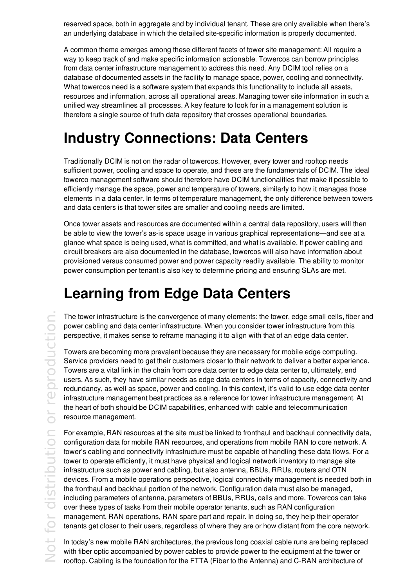reserved space, both in aggregate and by individual tenant. These are only available when there's an underlying database in which the detailed site-specific information is properly documented.

A common theme emerges among these different facets of tower site management: All require a way to keep track of and make specific information actionable. Towercos can borrow principles from data center infrastructure management to address this need. Any DCIM tool relies on a database of documented assets in the facility to manage space, power, cooling and connectivity. What towercos need is a software system that expands this functionality to include all assets, resources and information, across all operational areas. Managing tower site information in such a unified way streamlines all processes. A key feature to look for in a management solution is therefore a single source of truth data repository that crosses operational boundaries.

#### **Industry Connections: Data Centers**

Traditionally DCIM is not on the radar of towercos. However, every tower and rooftop needs sufficient power, cooling and space to operate, and these are the fundamentals of DCIM. The ideal towerco management software should therefore have DCIM functionalities that make it possible to efficiently manage the space, power and temperature of towers, similarly to how it manages those elements in a data center. In terms of temperature management, the only difference between towers and data centers is that tower sites are smaller and cooling needs are limited.

Once tower assets and resources are documented within a central data repository, users will then be able to view the tower's as-is space usage in various graphical representations—and see at a glance what space is being used, what is committed, and what is available. If power cabling and circuit breakers are also documented in the database, towercos will also have information about provisioned versus consumed power and power capacity readily available. The ability to monitor power consumption per tenant is also key to determine pricing and ensuring SLAs are met.

#### **Learning from Edge Data Centers**

The tower infrastructure is the convergence of many elements: the tower, edge small cells, fiber and power cabling and data center infrastructure. When you consider tower infrastructure from this perspective, it makes sense to reframe managing it to align with that of an edge data center.

Towers are becoming more prevalent because they are necessary for mobile edge computing. Service providers need to get their customers closer to their network to deliver a better experience. Towers are a vital link in the chain from core data center to edge data center to, ultimately, end users. As such, they have similar needs as edge data centers in terms of capacity, connectivity and redundancy, as well as space, power and cooling. In this context, it's valid to use edge data center infrastructure management best practices as a reference for tower infrastructure management. At the heart of both should be DCIM capabilities, enhanced with cable and telecommunication resource management.

For example, RAN resources at the site must be linked to fronthaul and backhaul connectivity data, configuration data for mobile RAN resources, and operations from mobile RAN to core network. A tower's cabling and connectivity infrastructure must be capable of handling these data flows. For a tower to operate efficiently, it must have physical and logical network inventory to manage site infrastructure such as power and cabling, but also antenna, BBUs, RRUs, routers and OTN devices. From a mobile operations perspective, logical connectivity management is needed both in the fronthaul and backhaul portion of the network. Configuration data must also be managed, including parameters of antenna, parameters of BBUs, RRUs, cells and more. Towercos can take over these types of tasks from their mobile operator tenants, such as RAN configuration management, RAN operations, RAN spare part and repair. In doing so, they help their operator tenants get closer to their users, regardless of where they are or how distant from the core network.

In today's new mobile RAN architectures, the previous long coaxial cable runs are being replaced with fiber optic accompanied by power cables to provide power to the equipment at the tower or rooftop. Cabling is the foundation for the FTTA (Fiber to the Antenna) and C-RAN architecture of